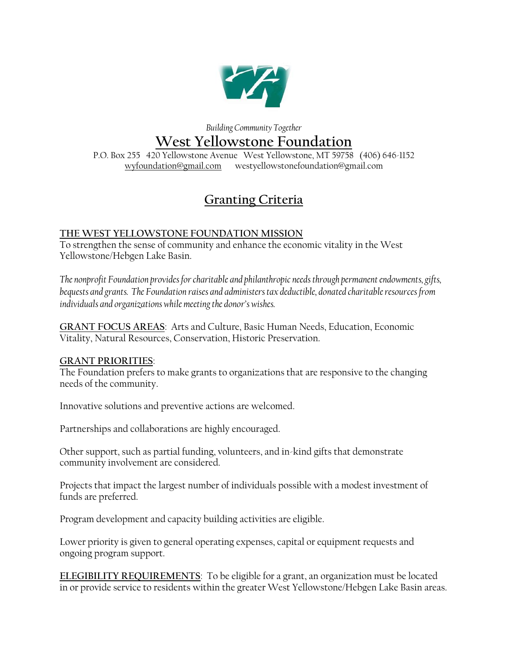

## *Building Community Together* **West Yellowstone Foundation**

P.O. Box 255 420 Yellowstone Avenue West Yellowstone, MT 59758 (406) 646-1152 [wyfoundation@gmail.com](mailto:wyfoundation@gmail.com) westyellowstonefoundation@gmail.com

## **Granting Criteria**

## **THE WEST YELLOWSTONE FOUNDATION MISSION**

To strengthen the sense of community and enhance the economic vitality in the West Yellowstone/Hebgen Lake Basin.

*The nonprofit Foundation provides for charitable and philanthropic needs through permanent endowments, gifts, bequests and grants. The Foundation raises and administers tax deductible, donated charitable resources from individuals and organizations while meeting the donor's wishes.*

**GRANT FOCUS AREAS**: Arts and Culture, Basic Human Needs, Education, Economic Vitality, Natural Resources, Conservation, Historic Preservation.

## **GRANT PRIORITIES**:

The Foundation prefers to make grants to organizations that are responsive to the changing needs of the community.

Innovative solutions and preventive actions are welcomed.

Partnerships and collaborations are highly encouraged.

Other support, such as partial funding, volunteers, and in-kind gifts that demonstrate community involvement are considered.

Projects that impact the largest number of individuals possible with a modest investment of funds are preferred.

Program development and capacity building activities are eligible.

Lower priority is given to general operating expenses, capital or equipment requests and ongoing program support.

**ELEGIBILITY REQUIREMENTS**: To be eligible for a grant, an organization must be located in or provide service to residents within the greater West Yellowstone/Hebgen Lake Basin areas.